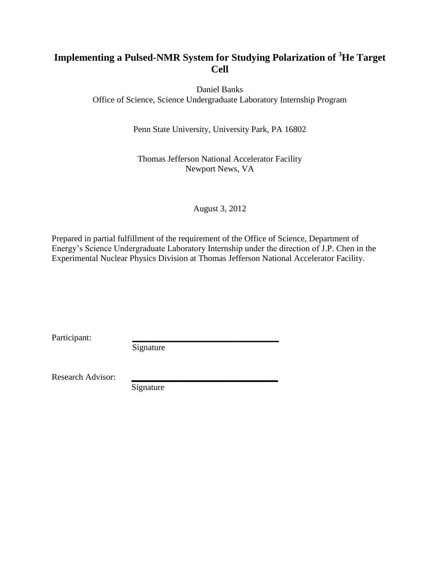## **Implementing a Pulsed-NMR System for Studying Polarization of <sup>3</sup>He Target Cell**

Daniel Banks Office of Science, Science Undergraduate Laboratory Internship Program

Penn State University, University Park, PA 16802

Thomas Jefferson National Accelerator Facility Newport News, VA

August 3, 2012

Prepared in partial fulfillment of the requirement of the Office of Science, Department of Energy's Science Undergraduate Laboratory Internship under the direction of J.P. Chen in the Experimental Nuclear Physics Division at Thomas Jefferson National Accelerator Facility.

Participant:

Signature

Research Advisor:

Signature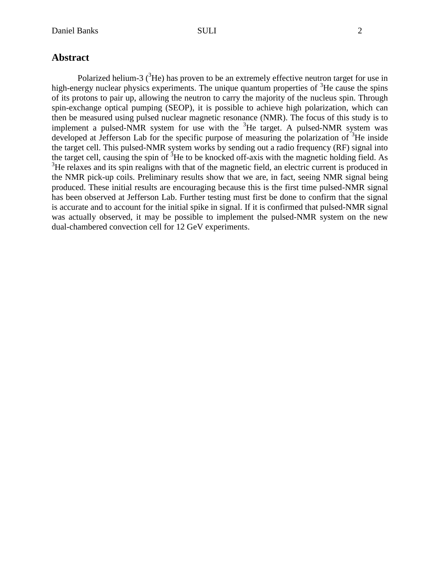### **Abstract**

Polarized helium-3  $(^{3}$ He) has proven to be an extremely effective neutron target for use in high-energy nuclear physics experiments. The unique quantum properties of  ${}^{3}$ He cause the spins of its protons to pair up, allowing the neutron to carry the majority of the nucleus spin. Through spin-exchange optical pumping (SEOP), it is possible to achieve high polarization, which can then be measured using pulsed nuclear magnetic resonance (NMR). The focus of this study is to implement a pulsed-NMR system for use with the  ${}^{3}$ He target. A pulsed-NMR system was developed at Jefferson Lab for the specific purpose of measuring the polarization of  ${}^{3}$ He inside the target cell. This pulsed-NMR system works by sending out a radio frequency (RF) signal into the target cell, causing the spin of  ${}^{3}$ He to be knocked off-axis with the magnetic holding field. As <sup>3</sup>He relaxes and its spin realigns with that of the magnetic field, an electric current is produced in the NMR pick-up coils. Preliminary results show that we are, in fact, seeing NMR signal being produced. These initial results are encouraging because this is the first time pulsed-NMR signal has been observed at Jefferson Lab. Further testing must first be done to confirm that the signal is accurate and to account for the initial spike in signal. If it is confirmed that pulsed-NMR signal was actually observed, it may be possible to implement the pulsed-NMR system on the new dual-chambered convection cell for 12 GeV experiments.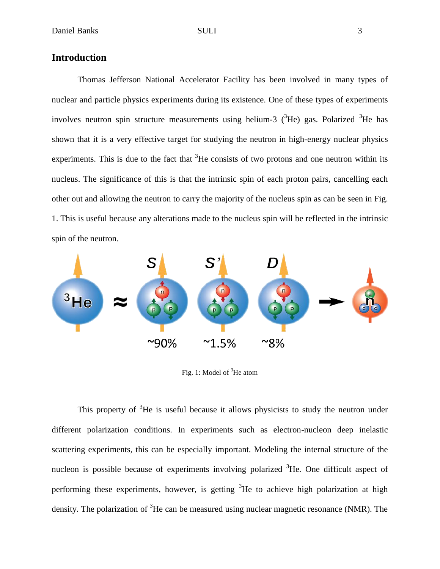### **Introduction**

Thomas Jefferson National Accelerator Facility has been involved in many types of nuclear and particle physics experiments during its existence. One of these types of experiments involves neutron spin structure measurements using helium-3  $(3He)$  gas. Polarized  $(3He)$  has shown that it is a very effective target for studying the neutron in high-energy nuclear physics experiments. This is due to the fact that  ${}^{3}$ He consists of two protons and one neutron within its nucleus. The significance of this is that the intrinsic spin of each proton pairs, cancelling each other out and allowing the neutron to carry the majority of the nucleus spin as can be seen in Fig. 1. This is useful because any alterations made to the nucleus spin will be reflected in the intrinsic spin of the neutron.



Fig. 1: Model of  ${}^{3}$ He atom

This property of  ${}^{3}$ He is useful because it allows physicists to study the neutron under different polarization conditions. In experiments such as electron-nucleon deep inelastic scattering experiments, this can be especially important. Modeling the internal structure of the nucleon is possible because of experiments involving polarized  ${}^{3}$ He. One difficult aspect of performing these experiments, however, is getting  ${}^{3}$ He to achieve high polarization at high density. The polarization of  ${}^{3}$ He can be measured using nuclear magnetic resonance (NMR). The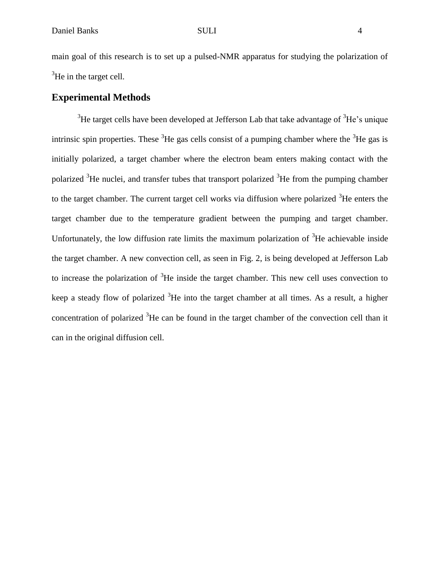main goal of this research is to set up a pulsed-NMR apparatus for studying the polarization of  ${}^{3}$ He in the target cell.

### **Experimental Methods**

 $3$ He target cells have been developed at Jefferson Lab that take advantage of  $3$ He's unique intrinsic spin properties. These  ${}^{3}$ He gas cells consist of a pumping chamber where the  ${}^{3}$ He gas is initially polarized, a target chamber where the electron beam enters making contact with the polarized  ${}^{3}$ He nuclei, and transfer tubes that transport polarized  ${}^{3}$ He from the pumping chamber to the target chamber. The current target cell works via diffusion where polarized  ${}^{3}$ He enters the target chamber due to the temperature gradient between the pumping and target chamber. Unfortunately, the low diffusion rate limits the maximum polarization of  ${}^{3}$ He achievable inside the target chamber. A new convection cell, as seen in Fig. 2, is being developed at Jefferson Lab to increase the polarization of  ${}^{3}$ He inside the target chamber. This new cell uses convection to keep a steady flow of polarized  ${}^{3}$ He into the target chamber at all times. As a result, a higher concentration of polarized  ${}^{3}$ He can be found in the target chamber of the convection cell than it can in the original diffusion cell.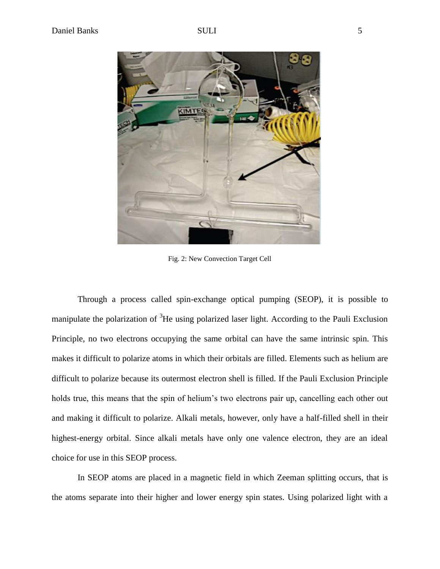

Fig. 2: New Convection Target Cell

Through a process called spin-exchange optical pumping (SEOP), it is possible to manipulate the polarization of <sup>3</sup>He using polarized laser light. According to the Pauli Exclusion Principle, no two electrons occupying the same orbital can have the same intrinsic spin. This makes it difficult to polarize atoms in which their orbitals are filled. Elements such as helium are difficult to polarize because its outermost electron shell is filled. If the Pauli Exclusion Principle holds true, this means that the spin of helium's two electrons pair up, cancelling each other out and making it difficult to polarize. Alkali metals, however, only have a half-filled shell in their highest-energy orbital. Since alkali metals have only one valence electron, they are an ideal choice for use in this SEOP process.

In SEOP atoms are placed in a magnetic field in which Zeeman splitting occurs, that is the atoms separate into their higher and lower energy spin states. Using polarized light with a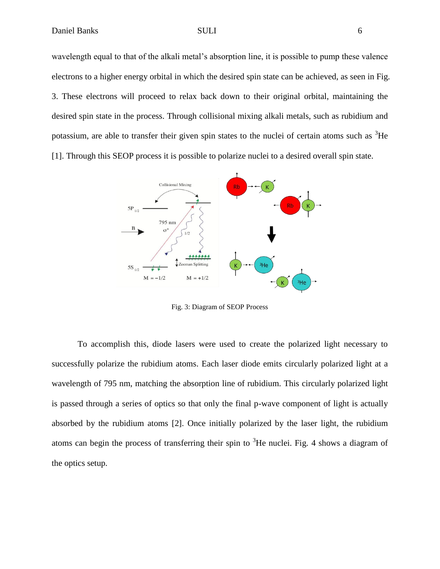wavelength equal to that of the alkali metal's absorption line, it is possible to pump these valence electrons to a higher energy orbital in which the desired spin state can be achieved, as seen in Fig. 3. These electrons will proceed to relax back down to their original orbital, maintaining the desired spin state in the process. Through collisional mixing alkali metals, such as rubidium and potassium, are able to transfer their given spin states to the nuclei of certain atoms such as  ${}^{3}$ He [1]. Through this SEOP process it is possible to polarize nuclei to a desired overall spin state.



Fig. 3: Diagram of SEOP Process

To accomplish this, diode lasers were used to create the polarized light necessary to successfully polarize the rubidium atoms. Each laser diode emits circularly polarized light at a wavelength of 795 nm, matching the absorption line of rubidium. This circularly polarized light is passed through a series of optics so that only the final p-wave component of light is actually absorbed by the rubidium atoms [2]. Once initially polarized by the laser light, the rubidium atoms can begin the process of transferring their spin to  ${}^{3}$ He nuclei. Fig. 4 shows a diagram of the optics setup.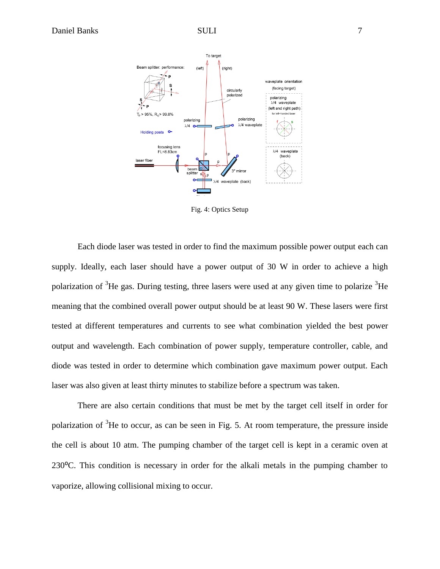

Fig. 4: Optics Setup

Each diode laser was tested in order to find the maximum possible power output each can supply. Ideally, each laser should have a power output of 30 W in order to achieve a high polarization of  ${}^{3}$ He gas. During testing, three lasers were used at any given time to polarize  ${}^{3}$ He meaning that the combined overall power output should be at least 90 W. These lasers were first tested at different temperatures and currents to see what combination yielded the best power output and wavelength. Each combination of power supply, temperature controller, cable, and diode was tested in order to determine which combination gave maximum power output. Each laser was also given at least thirty minutes to stabilize before a spectrum was taken.

There are also certain conditions that must be met by the target cell itself in order for polarization of  ${}^{3}$ He to occur, as can be seen in Fig. 5. At room temperature, the pressure inside the cell is about 10 atm. The pumping chamber of the target cell is kept in a ceramic oven at 230⁰C. This condition is necessary in order for the alkali metals in the pumping chamber to vaporize, allowing collisional mixing to occur.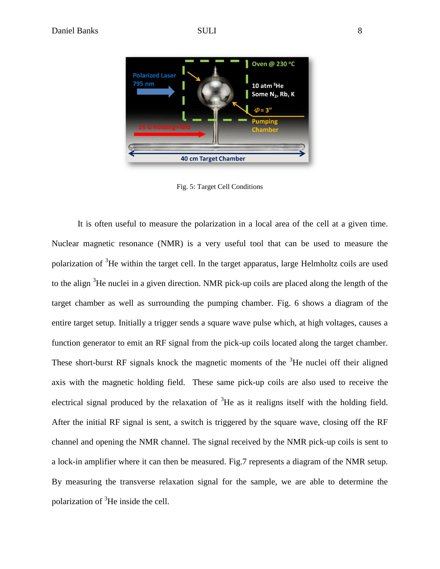

Fig. 5: Target Cell Conditions

It is often useful to measure the polarization in a local area of the cell at a given time. Nuclear magnetic resonance (NMR) is a very useful tool that can be used to measure the polarization of <sup>3</sup>He within the target cell. In the target apparatus, large Helmholtz coils are used to the align <sup>3</sup>He nuclei in a given direction. NMR pick-up coils are placed along the length of the target chamber as well as surrounding the pumping chamber. Fig. 6 shows a diagram of the entire target setup. Initially a trigger sends a square wave pulse which, at high voltages, causes a function generator to emit an RF signal from the pick-up coils located along the target chamber. These short-burst RF signals knock the magnetic moments of the  ${}^{3}$ He nuclei off their aligned axis with the magnetic holding field. These same pick-up coils are also used to receive the electrical signal produced by the relaxation of  ${}^{3}$ He as it realigns itself with the holding field. After the initial RF signal is sent, a switch is triggered by the square wave, closing off the RF channel and opening the NMR channel. The signal received by the NMR pick-up coils is sent to a lock-in amplifier where it can then be measured. Fig.7 represents a diagram of the NMR setup. By measuring the transverse relaxation signal for the sample, we are able to determine the polarization of  ${}^{3}$ He inside the cell.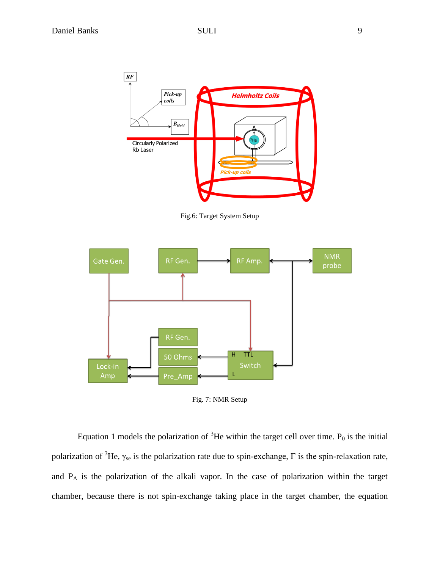

Fig.6: Target System Setup



Fig. 7: NMR Setup

Equation 1 models the polarization of  ${}^{3}$ He within the target cell over time. P<sub>0</sub> is the initial polarization of <sup>3</sup>He, γ<sub>se</sub> is the polarization rate due to spin-exchange, Γ is the spin-relaxation rate, and P<sup>A</sup> is the polarization of the alkali vapor. In the case of polarization within the target chamber, because there is not spin-exchange taking place in the target chamber, the equation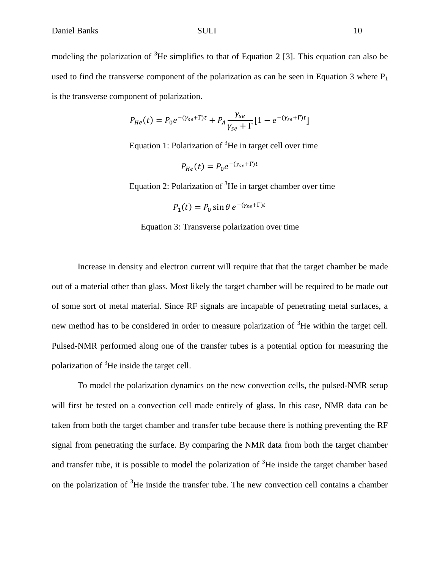$$
P_{He}(t) = P_0 e^{-(\gamma_{se} + \Gamma)t} + P_A \frac{\gamma_{se}}{\gamma_{se} + \Gamma} [1 - e^{-(\gamma_{se} + \Gamma)t}]
$$

Equation 1: Polarization of  ${}^{3}$ He in target cell over time

 $P_{He}(t) = P_0 e^{-(\gamma_{se} + \Gamma)t}$ 

Equation 2: Polarization of  ${}^{3}$ He in target chamber over time

$$
P_1(t) = P_0 \sin \theta \, e^{-(\gamma_{se} + \Gamma)t}
$$

Equation 3: Transverse polarization over time

Increase in density and electron current will require that that the target chamber be made out of a material other than glass. Most likely the target chamber will be required to be made out of some sort of metal material. Since RF signals are incapable of penetrating metal surfaces, a new method has to be considered in order to measure polarization of  ${}^{3}$ He within the target cell. Pulsed-NMR performed along one of the transfer tubes is a potential option for measuring the polarization of  ${}^{3}$ He inside the target cell.

To model the polarization dynamics on the new convection cells, the pulsed-NMR setup will first be tested on a convection cell made entirely of glass. In this case, NMR data can be taken from both the target chamber and transfer tube because there is nothing preventing the RF signal from penetrating the surface. By comparing the NMR data from both the target chamber and transfer tube, it is possible to model the polarization of  ${}^{3}$ He inside the target chamber based on the polarization of  ${}^{3}$ He inside the transfer tube. The new convection cell contains a chamber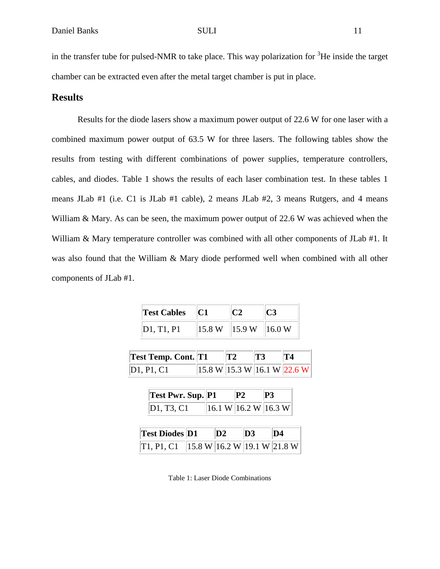in the transfer tube for pulsed-NMR to take place. This way polarization for  $3$ He inside the target chamber can be extracted even after the metal target chamber is put in place.

### **Results**

Results for the diode lasers show a maximum power output of 22.6 W for one laser with a combined maximum power output of 63.5 W for three lasers. The following tables show the results from testing with different combinations of power supplies, temperature controllers, cables, and diodes. Table 1 shows the results of each laser combination test. In these tables 1 means JLab #1 (i.e. C1 is JLab #1 cable), 2 means JLab #2, 3 means Rutgers, and 4 means William & Mary. As can be seen, the maximum power output of 22.6 W was achieved when the William & Mary temperature controller was combined with all other components of JLab #1. It was also found that the William & Mary diode performed well when combined with all other components of JLab #1.

| <b>Test Cables</b> |        |        |        |
|--------------------|--------|--------|--------|
| D1, T1, P1         | 15.8 W | 15.9 W | 16.0 W |

| <b>Test Temp. Cont. T1</b> |                                                                    | $ {\bf T2} $ | $\parallel$ T3 |  |
|----------------------------|--------------------------------------------------------------------|--------------|----------------|--|
| D1, P1, C1                 | $\ 15.8 \text{ W}\ 15.3 \text{ W}\ 16.1 \text{ W}\ 22.6 \text{ W}$ |              |                |  |

| <b>Test Pwr. Sup. P1</b> |                                                  | P2 | P3 |
|--------------------------|--------------------------------------------------|----|----|
| D1, T3, C1               | $ 16.1 \text{ W} 16.2 \text{ W} 16.3 \text{ W} $ |    |    |

| <b>Test Diodes D1</b>                                                         | $\mathbf{D2}$ | $\mathbf{D}3$ | \D4 |
|-------------------------------------------------------------------------------|---------------|---------------|-----|
| $\ T1, P1, C1\ $ $\ 15.8 \text{ W}\ $ 16.2 W $\ 19.1 \text{ W}\ $ 21.8 W $\ $ |               |               |     |

Table 1: Laser Diode Combinations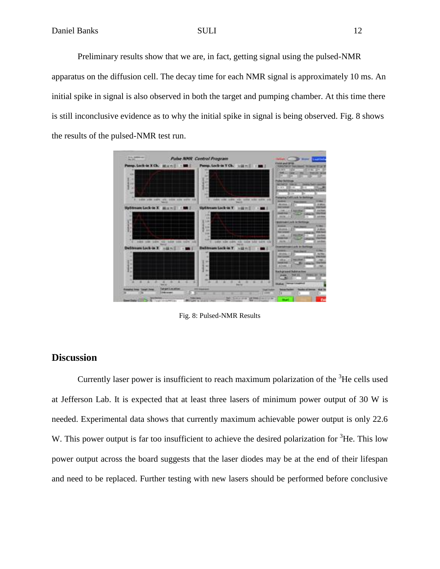Preliminary results show that we are, in fact, getting signal using the pulsed-NMR apparatus on the diffusion cell. The decay time for each NMR signal is approximately 10 ms. An initial spike in signal is also observed in both the target and pumping chamber. At this time there is still inconclusive evidence as to why the initial spike in signal is being observed. Fig. 8 shows the results of the pulsed-NMR test run.



Fig. 8: Pulsed-NMR Results

### **Discussion**

Currently laser power is insufficient to reach maximum polarization of the  ${}^{3}$ He cells used at Jefferson Lab. It is expected that at least three lasers of minimum power output of 30 W is needed. Experimental data shows that currently maximum achievable power output is only 22.6 W. This power output is far too insufficient to achieve the desired polarization for  ${}^{3}$ He. This low power output across the board suggests that the laser diodes may be at the end of their lifespan and need to be replaced. Further testing with new lasers should be performed before conclusive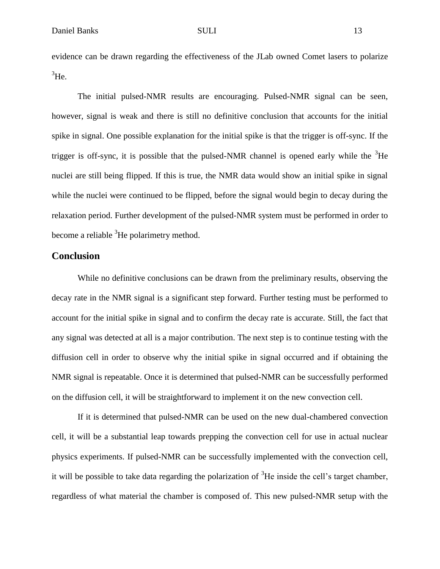evidence can be drawn regarding the effectiveness of the JLab owned Comet lasers to polarize  ${}^{3}$ He.

The initial pulsed-NMR results are encouraging. Pulsed-NMR signal can be seen, however, signal is weak and there is still no definitive conclusion that accounts for the initial spike in signal. One possible explanation for the initial spike is that the trigger is off-sync. If the trigger is off-sync, it is possible that the pulsed-NMR channel is opened early while the  ${}^{3}$ He nuclei are still being flipped. If this is true, the NMR data would show an initial spike in signal while the nuclei were continued to be flipped, before the signal would begin to decay during the relaxation period. Further development of the pulsed-NMR system must be performed in order to become a reliable <sup>3</sup>He polarimetry method.

### **Conclusion**

While no definitive conclusions can be drawn from the preliminary results, observing the decay rate in the NMR signal is a significant step forward. Further testing must be performed to account for the initial spike in signal and to confirm the decay rate is accurate. Still, the fact that any signal was detected at all is a major contribution. The next step is to continue testing with the diffusion cell in order to observe why the initial spike in signal occurred and if obtaining the NMR signal is repeatable. Once it is determined that pulsed-NMR can be successfully performed on the diffusion cell, it will be straightforward to implement it on the new convection cell.

If it is determined that pulsed-NMR can be used on the new dual-chambered convection cell, it will be a substantial leap towards prepping the convection cell for use in actual nuclear physics experiments. If pulsed-NMR can be successfully implemented with the convection cell, it will be possible to take data regarding the polarization of  ${}^{3}$ He inside the cell's target chamber, regardless of what material the chamber is composed of. This new pulsed-NMR setup with the